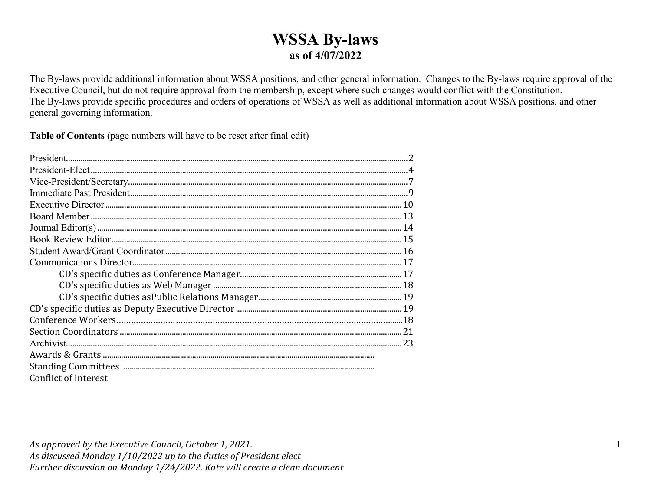### **WSSA By-laws as of 4/07/2022**

The By-laws provide additional information about WSSA positions, and other general information. Changes to the By-laws require approval of the Executive Council, but do not require approval from the membership, except where such changes would conflict with the Constitution. The By-laws provide specific procedures and orders of operations of WSSA as well as additional information about WSSA positions, and other general governing information.

**Table of Contents** (page numbers will have to be reset after final edit)

| <b>Conflict of Interest</b> |  |
|-----------------------------|--|
|                             |  |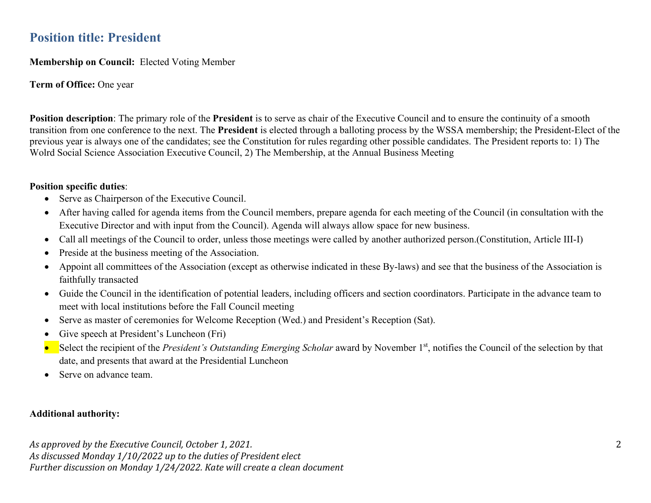### **Position title: President**

**Membership on Council:** Elected Voting Member

**Term of Office:** One year

**Position description**: The primary role of the **President** is to serve as chair of the Executive Council and to ensure the continuity of a smooth transition from one conference to the next. The **President** is elected through a balloting process by the WSSA membership; the President-Elect of the previous year is always one of the candidates; see the Constitution for rules regarding other possible candidates. The President reports to: 1) The Wolrd Social Science Association Executive Council, 2) The Membership, at the Annual Business Meeting

#### **Position specific duties**:

- Serve as Chairperson of the Executive Council.
- After having called for agenda items from the Council members, prepare agenda for each meeting of the Council (in consultation with the Executive Director and with input from the Council). Agenda will always allow space for new business.
- Call all meetings of the Council to order, unless those meetings were called by another authorized person.(Constitution, Article III-I)
- Preside at the business meeting of the Association.
- Appoint all committees of the Association (except as otherwise indicated in these By-laws) and see that the business of the Association is faithfully transacted
- Guide the Council in the identification of potential leaders, including officers and section coordinators. Participate in the advance team to meet with local institutions before the Fall Council meeting
- Serve as master of ceremonies for Welcome Reception (Wed.) and President's Reception (Sat).
- Give speech at President's Luncheon (Fri)
- Select the recipient of the *President's Outstanding Emerging Scholar* award by November 1<sup>st</sup>, notifies the Council of the selection by that date, and presents that award at the Presidential Luncheon
- Serve on advance team.

#### **Additional authority:**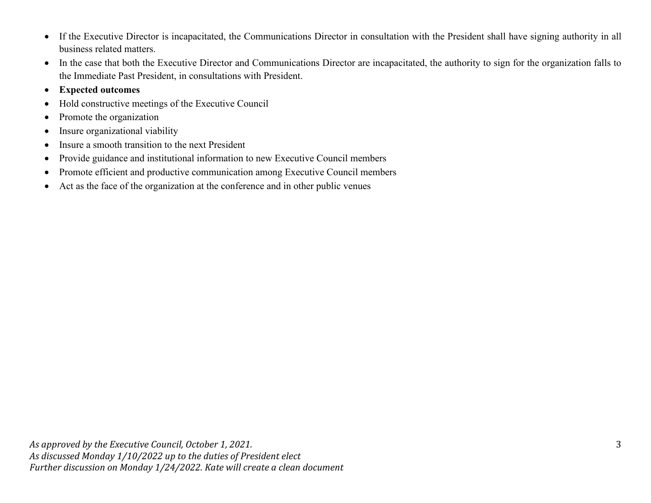- If the Executive Director is incapacitated, the Communications Director in consultation with the President shall have signing authority in all business related matters.
- In the case that both the Executive Director and Communications Director are incapacitated, the authority to sign for the organization falls to the Immediate Past President, in consultations with President.
- **Expected outcomes**
- Hold constructive meetings of the Executive Council
- Promote the organization
- Insure organizational viability
- Insure a smooth transition to the next President
- Provide guidance and institutional information to new Executive Council members
- Promote efficient and productive communication among Executive Council members
- Act as the face of the organization at the conference and in other public venues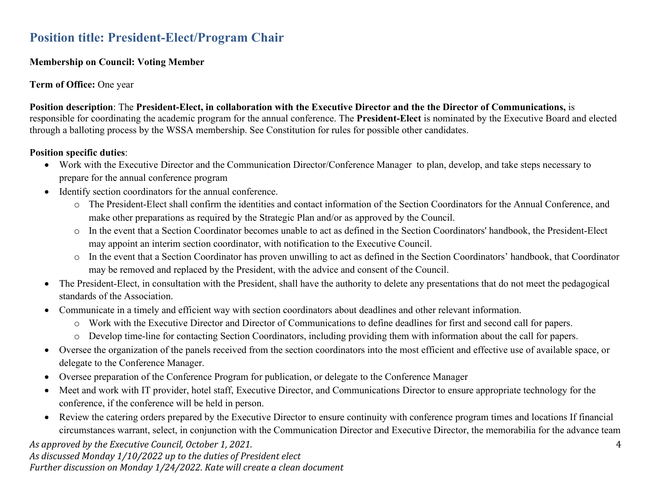### **Position title: President-Elect/Program Chair**

#### **Membership on Council: Voting Member**

#### **Term of Office:** One year

**Position description**: The **President-Elect, in collaboration with the Executive Director and the the Director of Communications,** is responsible for coordinating the academic program for the annual conference. The **President-Elect** is nominated by the Executive Board and elected through a balloting process by the WSSA membership. See Constitution for rules for possible other candidates.

#### **Position specific duties**:

- Work with the Executive Director and the Communication Director/Conference Manager to plan, develop, and take steps necessary to prepare for the annual conference program
- Identify section coordinators for the annual conference.
	- o The President-Elect shall confirm the identities and contact information of the Section Coordinators for the Annual Conference, and make other preparations as required by the Strategic Plan and/or as approved by the Council.
	- o In the event that a Section Coordinator becomes unable to act as defined in the Section Coordinators' handbook, the President-Elect may appoint an interim section coordinator, with notification to the Executive Council.
	- o In the event that a Section Coordinator has proven unwilling to act as defined in the Section Coordinators' handbook, that Coordinator may be removed and replaced by the President, with the advice and consent of the Council.
- The President-Elect, in consultation with the President, shall have the authority to delete any presentations that do not meet the pedagogical standards of the Association.
- Communicate in a timely and efficient way with section coordinators about deadlines and other relevant information.
	- o Work with the Executive Director and Director of Communications to define deadlines for first and second call for papers.
	- o Develop time-line for contacting Section Coordinators, including providing them with information about the call for papers.
- Oversee the organization of the panels received from the section coordinators into the most efficient and effective use of available space, or delegate to the Conference Manager.
- Oversee preparation of the Conference Program for publication, or delegate to the Conference Manager
- Meet and work with IT provider, hotel staff, Executive Director, and Communications Director to ensure appropriate technology for the conference, if the conference will be held in person.
- Review the catering orders prepared by the Executive Director to ensure continuity with conference program times and locations If financial circumstances warrant, select, in conjunction with the Communication Director and Executive Director, the memorabilia for the advance team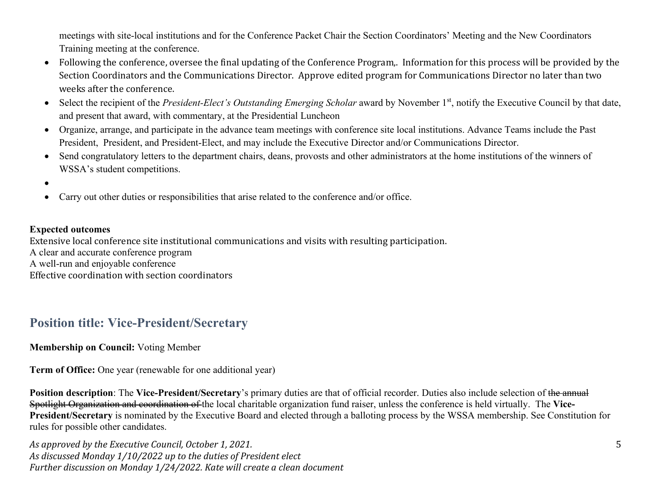meetings with site-local institutions and for the Conference Packet Chair the Section Coordinators' Meeting and the New Coordinators Training meeting at the conference.

- Following the conference, oversee the final updating of the Conference Program,. Information for this process will be provided by the Section Coordinators and the Communications Director. Approve edited program for Communications Director no later than two weeks after the conference.
- Select the recipient of the *President-Elect's Outstanding Emerging Scholar* award by November 1<sup>st</sup>, notify the Executive Council by that date, and present that award, with commentary, at the Presidential Luncheon
- Organize, arrange, and participate in the advance team meetings with conference site local institutions. Advance Teams include the Past President, President, and President-Elect, and may include the Executive Director and/or Communications Director.
- Send congratulatory letters to the department chairs, deans, provosts and other administrators at the home institutions of the winners of WSSA's student competitions.
- •
- Carry out other duties or responsibilities that arise related to the conference and/or office.

#### **Expected outcomes**

Extensive local conference site institutional communications and visits with resulting participation.

A clear and accurate conference program

A well-run and enjoyable conference

Effective coordination with section coordinators

### **Position title: Vice-President/Secretary**

**Membership on Council:** Voting Member

**Term of Office:** One year (renewable for one additional year)

**Position description**: The Vice-President/Secretary's primary duties are that of official recorder. Duties also include selection of the annual Spotlight Organization and coordination of the local charitable organization fund raiser, unless the conference is held virtually. The **Vice-President/Secretary** is nominated by the Executive Board and elected through a balloting process by the WSSA membership. See Constitution for rules for possible other candidates.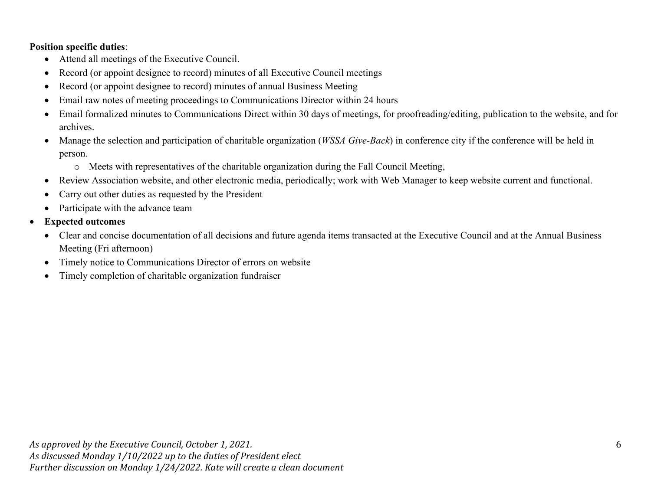#### **Position specific duties**:

- Attend all meetings of the Executive Council.
- Record (or appoint designee to record) minutes of all Executive Council meetings
- Record (or appoint designee to record) minutes of annual Business Meeting
- Email raw notes of meeting proceedings to Communications Director within 24 hours
- Email formalized minutes to Communications Direct within 30 days of meetings, for proofreading/editing, publication to the website, and for archives.
- Manage the selection and participation of charitable organization (*WSSA Give-Back*) in conference city if the conference will be held in person.
	- o Meets with representatives of the charitable organization during the Fall Council Meeting,
- Review Association website, and other electronic media, periodically; work with Web Manager to keep website current and functional.
- Carry out other duties as requested by the President
- Participate with the advance team
- **Expected outcomes**
	- Clear and concise documentation of all decisions and future agenda items transacted at the Executive Council and at the Annual Business Meeting (Fri afternoon)
	- Timely notice to Communications Director of errors on website
	- Timely completion of charitable organization fundraiser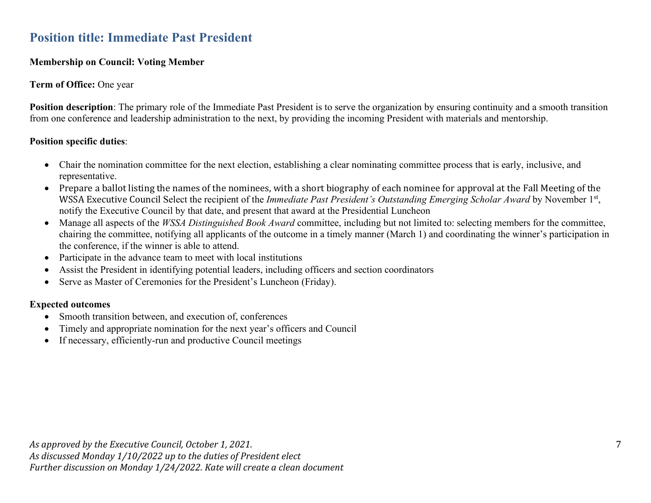### **Position title: Immediate Past President**

#### **Membership on Council: Voting Member**

#### **Term of Office:** One year

**Position description**: The primary role of the Immediate Past President is to serve the organization by ensuring continuity and a smooth transition from one conference and leadership administration to the next, by providing the incoming President with materials and mentorship.

#### **Position specific duties**:

- Chair the nomination committee for the next election, establishing a clear nominating committee process that is early, inclusive, and representative.
- Prepare a ballot listing the names of the nominees, with a short biography of each nominee for approval at the Fall Meeting of the WSSA Executive Council Select the recipient of the *Immediate Past President's Outstanding Emerging Scholar Award* by November 1<sup>st</sup>, notify the Executive Council by that date, and present that award at the Presidential Luncheon
- Manage all aspects of the *WSSA Distinguished Book Award* committee, including but not limited to: selecting members for the committee, chairing the committee, notifying all applicants of the outcome in a timely manner (March 1) and coordinating the winner's participation in the conference, if the winner is able to attend.
- Participate in the advance team to meet with local institutions
- Assist the President in identifying potential leaders, including officers and section coordinators
- Serve as Master of Ceremonies for the President's Luncheon (Friday).

#### **Expected outcomes**

- Smooth transition between, and execution of, conferences
- Timely and appropriate nomination for the next year's officers and Council
- If necessary, efficiently-run and productive Council meetings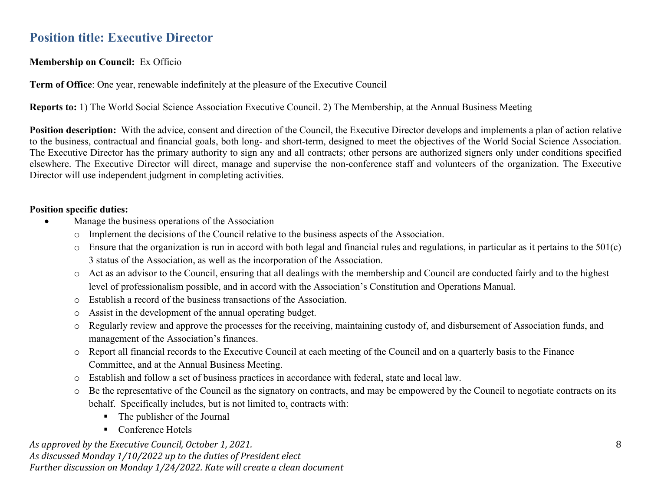### **Position title: Executive Director**

**Membership on Council:** Ex Officio

**Term of Office**: One year, renewable indefinitely at the pleasure of the Executive Council

**Reports to:** 1) The World Social Science Association Executive Council. 2) The Membership, at the Annual Business Meeting

**Position description:** With the advice, consent and direction of the Council, the Executive Director develops and implements a plan of action relative to the business, contractual and financial goals, both long- and short-term, designed to meet the objectives of the World Social Science Association. The Executive Director has the primary authority to sign any and all contracts; other persons are authorized signers only under conditions specified elsewhere. The Executive Director will direct, manage and supervise the non-conference staff and volunteers of the organization. The Executive Director will use independent judgment in completing activities.

#### **Position specific duties:**

- Manage the business operations of the Association
	- o Implement the decisions of the Council relative to the business aspects of the Association.
	- $\circ$  Ensure that the organization is run in accord with both legal and financial rules and regulations, in particular as it pertains to the 501(c) 3 status of the Association, as well as the incorporation of the Association.
	- o Act as an advisor to the Council, ensuring that all dealings with the membership and Council are conducted fairly and to the highest level of professionalism possible, and in accord with the Association's Constitution and Operations Manual.
	- o Establish a record of the business transactions of the Association.
	- o Assist in the development of the annual operating budget.
	- o Regularly review and approve the processes for the receiving, maintaining custody of, and disbursement of Association funds, and management of the Association's finances.
	- o Report all financial records to the Executive Council at each meeting of the Council and on a quarterly basis to the Finance Committee, and at the Annual Business Meeting.
	- o Establish and follow a set of business practices in accordance with federal, state and local law.
	- o Be the representative of the Council as the signatory on contracts, and may be empowered by the Council to negotiate contracts on its behalf. Specifically includes, but is not limited to, contracts with:
		- The publisher of the Journal
		- Conference Hotels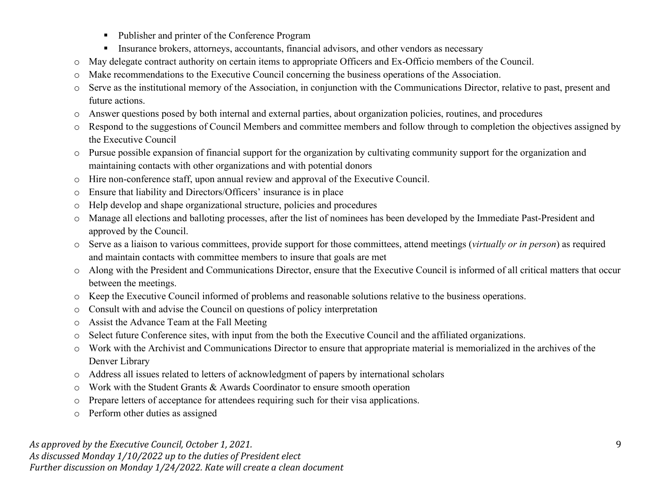- Publisher and printer of the Conference Program
- **Insurance brokers, attorneys, accountants, financial advisors, and other vendors as necessary**
- o May delegate contract authority on certain items to appropriate Officers and Ex-Officio members of the Council.
- o Make recommendations to the Executive Council concerning the business operations of the Association.
- o Serve as the institutional memory of the Association, in conjunction with the Communications Director, relative to past, present and future actions.
- o Answer questions posed by both internal and external parties, about organization policies, routines, and procedures
- o Respond to the suggestions of Council Members and committee members and follow through to completion the objectives assigned by the Executive Council
- o Pursue possible expansion of financial support for the organization by cultivating community support for the organization and maintaining contacts with other organizations and with potential donors
- o Hire non-conference staff, upon annual review and approval of the Executive Council.
- o Ensure that liability and Directors/Officers' insurance is in place
- o Help develop and shape organizational structure, policies and procedures
- o Manage all elections and balloting processes, after the list of nominees has been developed by the Immediate Past-President and approved by the Council.
- o Serve as a liaison to various committees, provide support for those committees, attend meetings (*virtually or in person*) as required and maintain contacts with committee members to insure that goals are met
- o Along with the President and Communications Director, ensure that the Executive Council is informed of all critical matters that occur between the meetings.
- o Keep the Executive Council informed of problems and reasonable solutions relative to the business operations.
- o Consult with and advise the Council on questions of policy interpretation
- o Assist the Advance Team at the Fall Meeting
- o Select future Conference sites, with input from the both the Executive Council and the affiliated organizations.
- o Work with the Archivist and Communications Director to ensure that appropriate material is memorialized in the archives of the Denver Library
- o Address all issues related to letters of acknowledgment of papers by international scholars
- o Work with the Student Grants & Awards Coordinator to ensure smooth operation
- o Prepare letters of acceptance for attendees requiring such for their visa applications.
- o Perform other duties as assigned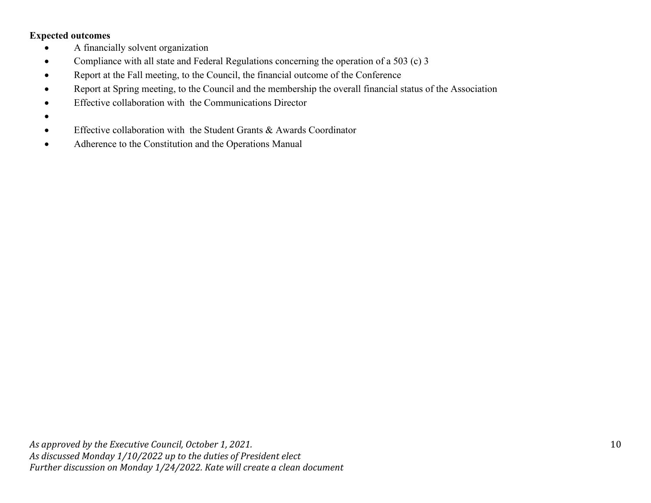#### **Expected outcomes**

- A financially solvent organization
- Compliance with all state and Federal Regulations concerning the operation of a 503 (c) 3
- Report at the Fall meeting, to the Council, the financial outcome of the Conference
- Report at Spring meeting, to the Council and the membership the overall financial status of the Association
- Effective collaboration with the Communications Director
- •
- Effective collaboration with the Student Grants & Awards Coordinator
- Adherence to the Constitution and the Operations Manual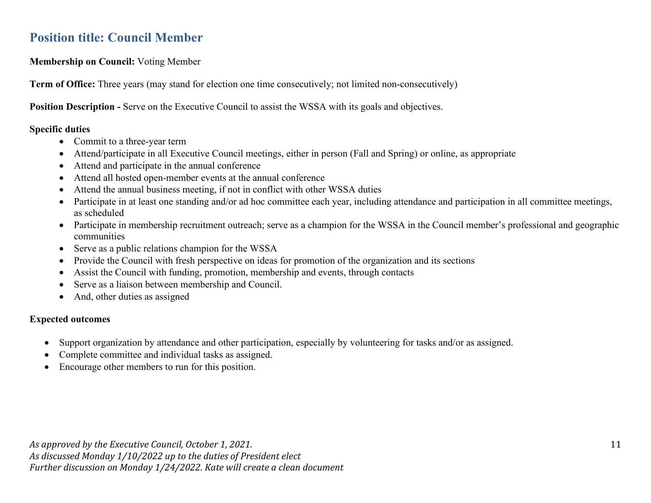### **Position title: Council Member**

**Membership on Council:** Voting Member

**Term of Office:** Three years (may stand for election one time consecutively; not limited non-consecutively)

**Position Description -** Serve on the Executive Council to assist the WSSA with its goals and objectives.

#### **Specific duties**

- Commit to a three-year term
- Attend/participate in all Executive Council meetings, either in person (Fall and Spring) or online, as appropriate
- Attend and participate in the annual conference
- Attend all hosted open-member events at the annual conference
- Attend the annual business meeting, if not in conflict with other WSSA duties
- Participate in at least one standing and/or ad hoc committee each year, including attendance and participation in all committee meetings, as scheduled
- Participate in membership recruitment outreach; serve as a champion for the WSSA in the Council member's professional and geographic communities
- Serve as a public relations champion for the WSSA
- Provide the Council with fresh perspective on ideas for promotion of the organization and its sections
- Assist the Council with funding, promotion, membership and events, through contacts
- Serve as a liaison between membership and Council.
- And, other duties as assigned

#### **Expected outcomes**

- Support organization by attendance and other participation, especially by volunteering for tasks and/or as assigned.
- Complete committee and individual tasks as assigned.
- Encourage other members to run for this position.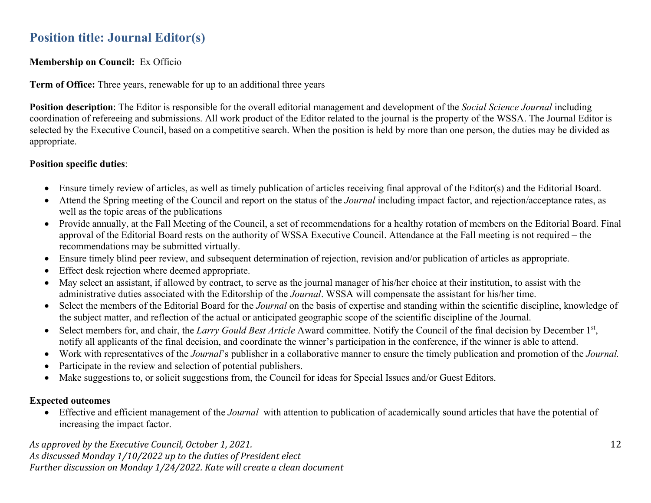### **Position title: Journal Editor(s)**

#### **Membership on Council:** Ex Officio

**Term of Office:** Three years, renewable for up to an additional three years

**Position description**: The Editor is responsible for the overall editorial management and development of the *Social Science Journal* including coordination of refereeing and submissions. All work product of the Editor related to the journal is the property of the WSSA. The Journal Editor is selected by the Executive Council, based on a competitive search. When the position is held by more than one person, the duties may be divided as appropriate.

#### **Position specific duties**:

- Ensure timely review of articles, as well as timely publication of articles receiving final approval of the Editor(s) and the Editorial Board.
- Attend the Spring meeting of the Council and report on the status of the *Journal* including impact factor, and rejection/acceptance rates, as well as the topic areas of the publications
- Provide annually, at the Fall Meeting of the Council, a set of recommendations for a healthy rotation of members on the Editorial Board. Final approval of the Editorial Board rests on the authority of WSSA Executive Council. Attendance at the Fall meeting is not required – the recommendations may be submitted virtually.
- Ensure timely blind peer review, and subsequent determination of rejection, revision and/or publication of articles as appropriate.
- Effect desk rejection where deemed appropriate.
- May select an assistant, if allowed by contract, to serve as the journal manager of his/her choice at their institution, to assist with the administrative duties associated with the Editorship of the *Journal*. WSSA will compensate the assistant for his/her time.
- Select the members of the Editorial Board for the *Journal* on the basis of expertise and standing within the scientific discipline, knowledge of the subject matter, and reflection of the actual or anticipated geographic scope of the scientific discipline of the Journal.
- Select members for, and chair, the *Larry Gould Best Article* Award committee. Notify the Council of the final decision by December 1<sup>st</sup>, notify all applicants of the final decision, and coordinate the winner's participation in the conference, if the winner is able to attend.
- Work with representatives of the *Journal*'s publisher in a collaborative manner to ensure the timely publication and promotion of the *Journal.*
- Participate in the review and selection of potential publishers.
- Make suggestions to, or solicit suggestions from, the Council for ideas for Special Issues and/or Guest Editors.

#### **Expected outcomes**

• Effective and efficient management of the *Journal* with attention to publication of academically sound articles that have the potential of increasing the impact factor.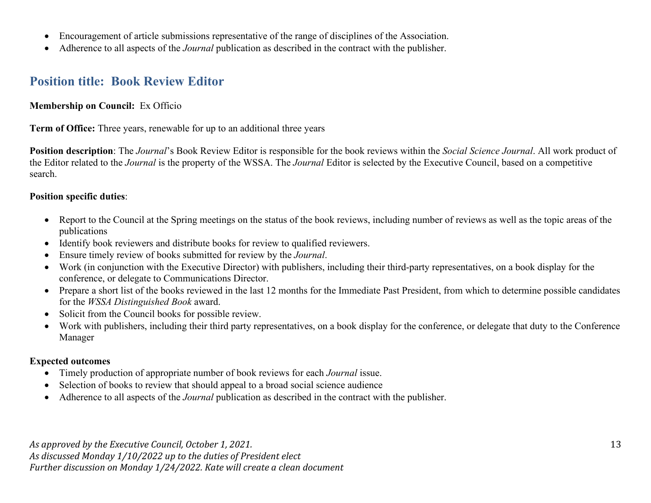- Encouragement of article submissions representative of the range of disciplines of the Association.
- Adherence to all aspects of the *Journal* publication as described in the contract with the publisher.

### **Position title: Book Review Editor**

#### **Membership on Council:** Ex Officio

**Term of Office:** Three years, renewable for up to an additional three years

**Position description**: The *Journal*'s Book Review Editor is responsible for the book reviews within the *Social Science Journal*. All work product of the Editor related to the *Journal* is the property of the WSSA. The *Journal* Editor is selected by the Executive Council, based on a competitive search.

#### **Position specific duties**:

- Report to the Council at the Spring meetings on the status of the book reviews, including number of reviews as well as the topic areas of the publications
- Identify book reviewers and distribute books for review to qualified reviewers.
- Ensure timely review of books submitted for review by the *Journal*.
- Work (in conjunction with the Executive Director) with publishers, including their third-party representatives, on a book display for the conference, or delegate to Communications Director.
- Prepare a short list of the books reviewed in the last 12 months for the Immediate Past President, from which to determine possible candidates for the *WSSA Distinguished Book* award.
- Solicit from the Council books for possible review.
- Work with publishers, including their third party representatives, on a book display for the conference, or delegate that duty to the Conference Manager

#### **Expected outcomes**

- Timely production of appropriate number of book reviews for each *Journal* issue.
- Selection of books to review that should appeal to a broad social science audience
- Adherence to all aspects of the *Journal* publication as described in the contract with the publisher.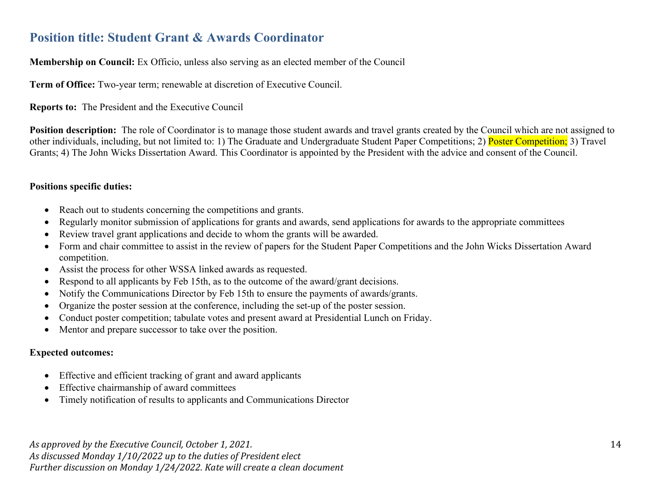### **Position title: Student Grant & Awards Coordinator**

#### **Membership on Council:** Ex Officio, unless also serving as an elected member of the Council

**Term of Office:** Two-year term; renewable at discretion of Executive Council.

#### **Reports to:** The President and the Executive Council

**Position description:** The role of Coordinator is to manage those student awards and travel grants created by the Council which are not assigned to other individuals, including, but not limited to: 1) The Graduate and Undergraduate Student Paper Competitions; 2) Poster Competition; 3) Travel Grants; 4) The John Wicks Dissertation Award. This Coordinator is appointed by the President with the advice and consent of the Council.

#### **Positions specific duties:**

- Reach out to students concerning the competitions and grants.
- Regularly monitor submission of applications for grants and awards, send applications for awards to the appropriate committees
- Review travel grant applications and decide to whom the grants will be awarded.
- Form and chair committee to assist in the review of papers for the Student Paper Competitions and the John Wicks Dissertation Award competition.
- Assist the process for other WSSA linked awards as requested.
- Respond to all applicants by Feb 15th, as to the outcome of the award/grant decisions.
- Notify the Communications Director by Feb 15th to ensure the payments of awards/grants.
- Organize the poster session at the conference, including the set-up of the poster session.
- Conduct poster competition; tabulate votes and present award at Presidential Lunch on Friday.
- Mentor and prepare successor to take over the position.

#### **Expected outcomes:**

- Effective and efficient tracking of grant and award applicants
- Effective chairmanship of award committees
- Timely notification of results to applicants and Communications Director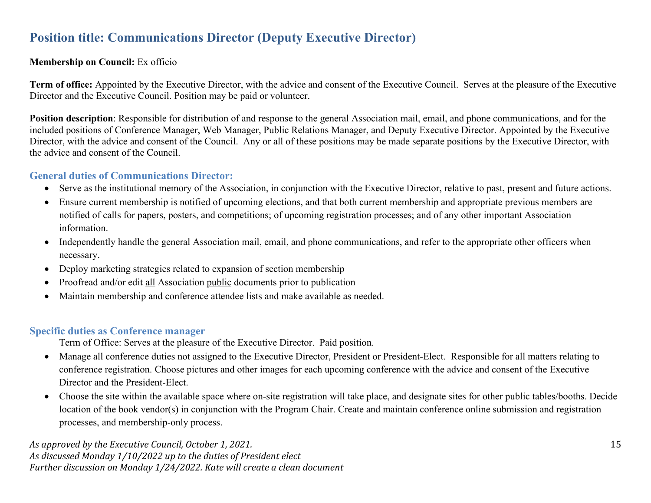### **Position title: Communications Director (Deputy Executive Director)**

#### **Membership on Council:** Ex officio

**Term of office:** Appointed by the Executive Director, with the advice and consent of the Executive Council. Serves at the pleasure of the Executive Director and the Executive Council. Position may be paid or volunteer.

**Position description**: Responsible for distribution of and response to the general Association mail, email, and phone communications, and for the included positions of Conference Manager, Web Manager, Public Relations Manager, and Deputy Executive Director. Appointed by the Executive Director, with the advice and consent of the Council. Any or all of these positions may be made separate positions by the Executive Director, with the advice and consent of the Council.

#### **General duties of Communications Director:**

- Serve as the institutional memory of the Association, in conjunction with the Executive Director, relative to past, present and future actions.
- Ensure current membership is notified of upcoming elections, and that both current membership and appropriate previous members are notified of calls for papers, posters, and competitions; of upcoming registration processes; and of any other important Association information.
- Independently handle the general Association mail, email, and phone communications, and refer to the appropriate other officers when necessary.
- Deploy marketing strategies related to expansion of section membership
- Proofread and/or edit all Association public documents prior to publication
- Maintain membership and conference attendee lists and make available as needed.

#### **Specific duties as Conference manager**

Term of Office: Serves at the pleasure of the Executive Director. Paid position.

- Manage all conference duties not assigned to the Executive Director, President or President-Elect. Responsible for all matters relating to conference registration. Choose pictures and other images for each upcoming conference with the advice and consent of the Executive Director and the President-Elect.
- Choose the site within the available space where on-site registration will take place, and designate sites for other public tables/booths. Decide location of the book vendor(s) in conjunction with the Program Chair. Create and maintain conference online submission and registration processes, and membership-only process.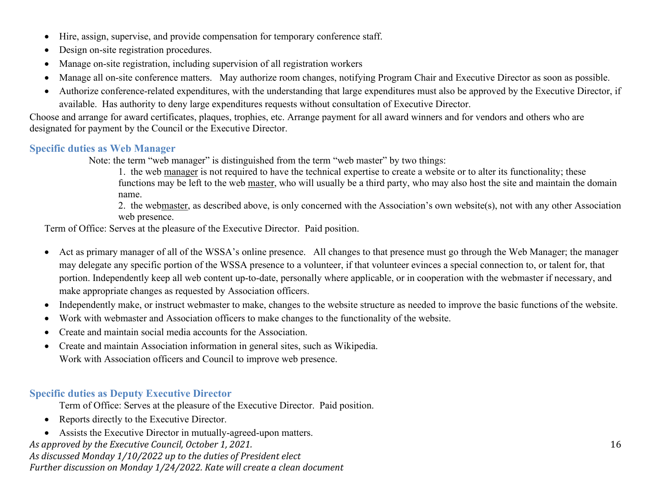- Hire, assign, supervise, and provide compensation for temporary conference staff.
- Design on-site registration procedures.
- Manage on-site registration, including supervision of all registration workers
- Manage all on-site conference matters. May authorize room changes, notifying Program Chair and Executive Director as soon as possible.
- Authorize conference-related expenditures, with the understanding that large expenditures must also be approved by the Executive Director, if available. Has authority to deny large expenditures requests without consultation of Executive Director.

Choose and arrange for award certificates, plaques, trophies, etc. Arrange payment for all award winners and for vendors and others who are designated for payment by the Council or the Executive Director.

#### **Specific duties as Web Manager**

Note: the term "web manager" is distinguished from the term "web master" by two things:

1. the web manager is not required to have the technical expertise to create a website or to alter its functionality; these functions may be left to the web master, who will usually be a third party, who may also host the site and maintain the domain name.

2. the webmaster, as described above, is only concerned with the Association's own website(s), not with any other Association web presence.

Term of Office: Serves at the pleasure of the Executive Director. Paid position.

- Act as primary manager of all of the WSSA's online presence. All changes to that presence must go through the Web Manager; the manager may delegate any specific portion of the WSSA presence to a volunteer, if that volunteer evinces a special connection to, or talent for, that portion. Independently keep all web content up-to-date, personally where applicable, or in cooperation with the webmaster if necessary, and make appropriate changes as requested by Association officers.
- Independently make, or instruct webmaster to make, changes to the website structure as needed to improve the basic functions of the website.
- Work with webmaster and Association officers to make changes to the functionality of the website.
- Create and maintain social media accounts for the Association.
- Create and maintain Association information in general sites, such as Wikipedia. Work with Association officers and Council to improve web presence.

#### **Specific duties as Deputy Executive Director**

Term of Office: Serves at the pleasure of the Executive Director. Paid position.

- Reports directly to the Executive Director.
- Assists the Executive Director in mutually-agreed-upon matters.

*As approved by the Executive Council, October 1, 2021.*

*As discussed Monday 1/10/2022 up to the duties of President elect Further discussion on Monday 1/24/2022. Kate will create a clean document*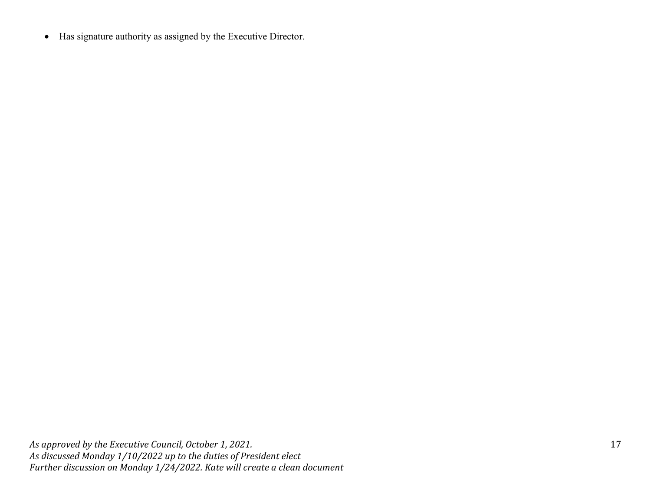• Has signature authority as assigned by the Executive Director.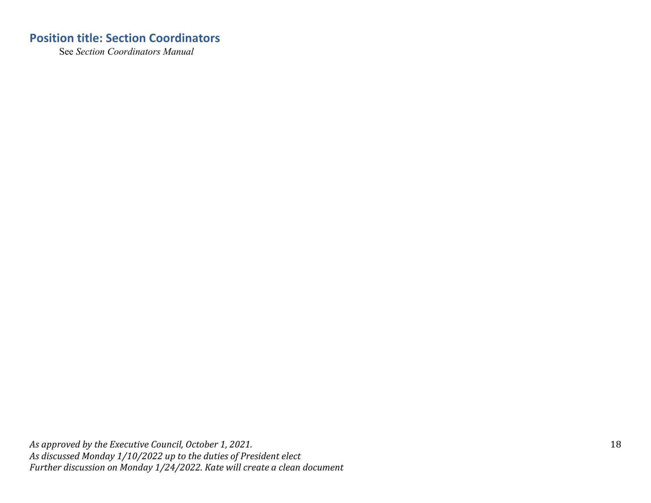### **Position title: Section Coordinators**

See *Section Coordinators Manual*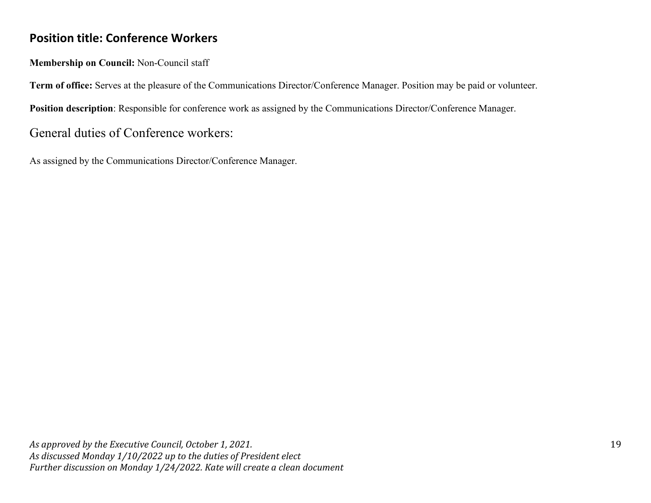### **Position title: Conference Workers**

**Membership on Council:** Non-Council staff

**Term of office:** Serves at the pleasure of the Communications Director/Conference Manager. Position may be paid or volunteer.

**Position description**: Responsible for conference work as assigned by the Communications Director/Conference Manager.

### General duties of Conference workers:

As assigned by the Communications Director/Conference Manager.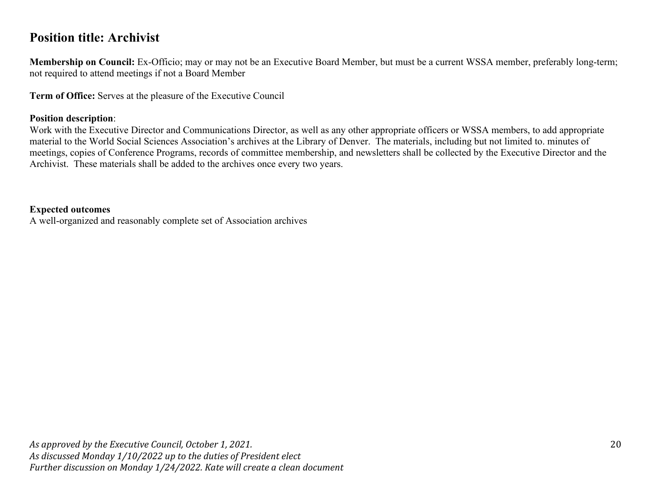### **Position title: Archivist**

**Membership on Council:** Ex-Officio; may or may not be an Executive Board Member, but must be a current WSSA member, preferably long-term; not required to attend meetings if not a Board Member

**Term of Office:** Serves at the pleasure of the Executive Council

#### **Position description**:

Work with the Executive Director and Communications Director, as well as any other appropriate officers or WSSA members, to add appropriate material to the World Social Sciences Association's archives at the Library of Denver. The materials, including but not limited to. minutes of meetings, copies of Conference Programs, records of committee membership, and newsletters shall be collected by the Executive Director and the Archivist. These materials shall be added to the archives once every two years.

#### **Expected outcomes**

A well-organized and reasonably complete set of Association archives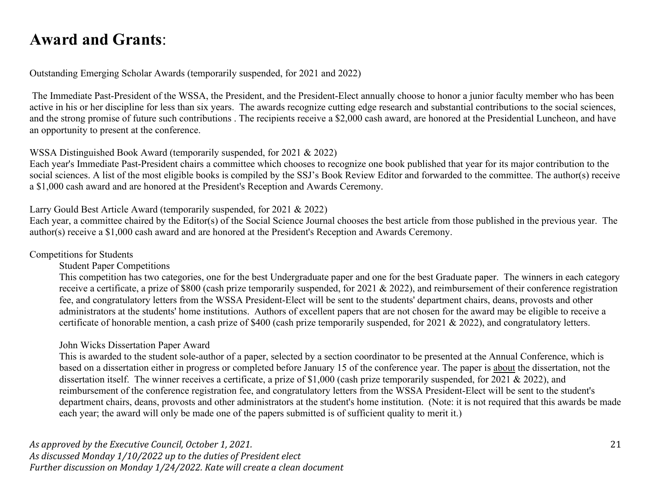## **Award and Grants**:

Outstanding Emerging Scholar Awards (temporarily suspended, for 2021 and 2022)

The Immediate Past-President of the WSSA, the President, and the President-Elect annually choose to honor a junior faculty member who has been active in his or her discipline for less than six years. The awards recognize cutting edge research and substantial contributions to the social sciences, and the strong promise of future such contributions . The recipients receive a \$2,000 cash award, are honored at the Presidential Luncheon, and have an opportunity to present at the conference.

#### WSSA Distinguished Book Award (temporarily suspended, for 2021 & 2022)

Each year's Immediate Past-President chairs a committee which chooses to recognize one book published that year for its major contribution to the social sciences. A list of the most eligible books is compiled by the SSJ's Book Review Editor and forwarded to the committee. The author(s) receive a \$1,000 cash award and are honored at the President's Reception and Awards Ceremony.

#### Larry Gould Best Article Award (temporarily suspended, for 2021 & 2022)

Each year, a committee chaired by the Editor(s) of the Social Science Journal chooses the best article from those published in the previous year. The author(s) receive a \$1,000 cash award and are honored at the President's Reception and Awards Ceremony.

#### Competitions for Students

Student Paper Competitions

This competition has two categories, one for the best Undergraduate paper and one for the best Graduate paper. The winners in each category receive a certificate, a prize of \$800 (cash prize temporarily suspended, for 2021 & 2022), and reimbursement of their conference registration fee, and congratulatory letters from the WSSA President-Elect will be sent to the students' department chairs, deans, provosts and other administrators at the students' home institutions. Authors of excellent papers that are not chosen for the award may be eligible to receive a certificate of honorable mention, a cash prize of \$400 (cash prize temporarily suspended, for 2021 & 2022), and congratulatory letters.

#### John Wicks Dissertation Paper Award

This is awarded to the student sole-author of a paper, selected by a section coordinator to be presented at the Annual Conference, which is based on a dissertation either in progress or completed before January 15 of the conference year. The paper is about the dissertation, not the dissertation itself. The winner receives a certificate, a prize of \$1,000 (cash prize temporarily suspended, for 2021 & 2022), and reimbursement of the conference registration fee, and congratulatory letters from the WSSA President-Elect will be sent to the student's department chairs, deans, provosts and other administrators at the student's home institution. (Note: it is not required that this awards be made each year; the award will only be made one of the papers submitted is of sufficient quality to merit it.)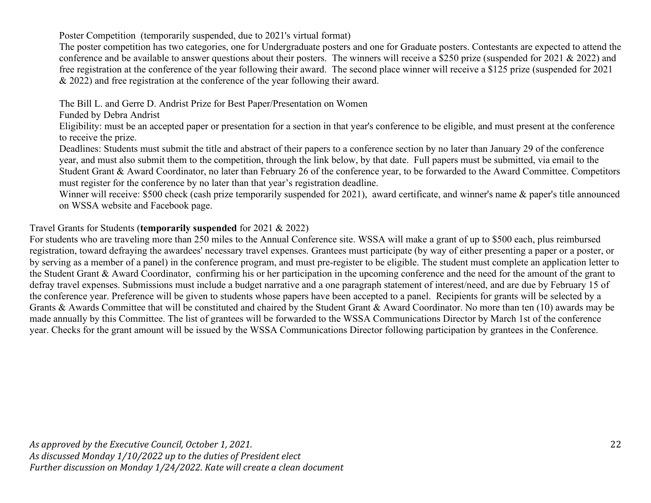Poster Competition (temporarily suspended, due to 2021's virtual format)

The poster competition has two categories, one for Undergraduate posters and one for Graduate posters. Contestants are expected to attend the conference and be available to answer questions about their posters. The winners will receive a \$250 prize (suspended for 2021 & 2022) and free registration at the conference of the year following their award. The second place winner will receive a \$125 prize (suspended for 2021 & 2022) and free registration at the conference of the year following their award.

The Bill L. and Gerre D. Andrist Prize for Best Paper/Presentation on Women

Funded by Debra Andrist

Eligibility: must be an accepted paper or presentation for a section in that year's conference to be eligible, and must present at the conference to receive the prize.

Deadlines: Students must submit the title and abstract of their papers to a conference section by no later than January 29 of the conference year, and must also submit them to the competition, through the link below, by that date. Full papers must be submitted, via email to the Student Grant & Award Coordinator, no later than February 26 of the conference year, to be forwarded to the Award Committee. Competitors must register for the conference by no later than that year's registration deadline.

Winner will receive: \$500 check (cash prize temporarily suspended for 2021), award certificate, and winner's name & paper's title announced on WSSA website and Facebook page.

Travel Grants for Students (**temporarily suspended** for 2021 & 2022)

For students who are traveling more than 250 miles to the Annual Conference site. WSSA will make a grant of up to \$500 each, plus reimbursed registration, toward defraying the awardees' necessary travel expenses. Grantees must participate (by way of either presenting a paper or a poster, or by serving as a member of a panel) in the conference program, and must pre-register to be eligible. The student must complete an application letter to the Student Grant & Award Coordinator, confirming his or her participation in the upcoming conference and the need for the amount of the grant to defray travel expenses. Submissions must include a budget narrative and a one paragraph statement of interest/need, and are due by February 15 of the conference year. Preference will be given to students whose papers have been accepted to a panel. Recipients for grants will be selected by a Grants & Awards Committee that will be constituted and chaired by the Student Grant & Award Coordinator. No more than ten (10) awards may be made annually by this Committee. The list of grantees will be forwarded to the WSSA Communications Director by March 1st of the conference year. Checks for the grant amount will be issued by the WSSA Communications Director following participation by grantees in the Conference.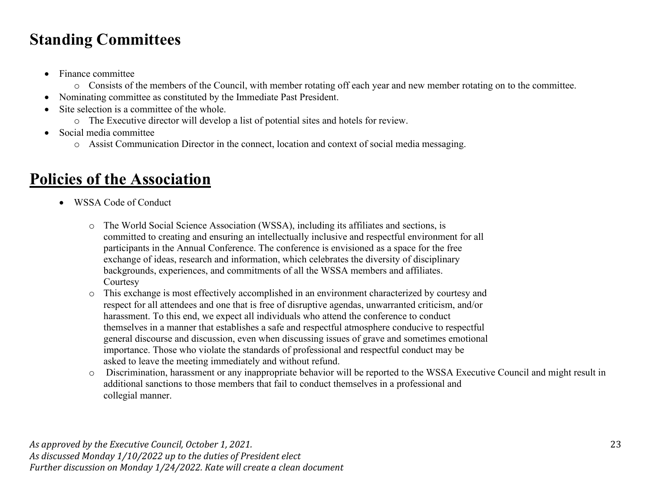# **Standing Committees**

- Finance committee
	- o Consists of the members of the Council, with member rotating off each year and new member rotating on to the committee.
- Nominating committee as constituted by the Immediate Past President.
- Site selection is a committee of the whole.
	- o The Executive director will develop a list of potential sites and hotels for review.
- Social media committee
	- o Assist Communication Director in the connect, location and context of social media messaging.

# **Policies of the Association**

- WSSA Code of Conduct
	- o The World Social Science Association (WSSA), including its affiliates and sections, is committed to creating and ensuring an intellectually inclusive and respectful environment for all participants in the Annual Conference. The conference is envisioned as a space for the free exchange of ideas, research and information, which celebrates the diversity of disciplinary backgrounds, experiences, and commitments of all the WSSA members and affiliates. **Courtesy**
	- o This exchange is most effectively accomplished in an environment characterized by courtesy and respect for all attendees and one that is free of disruptive agendas, unwarranted criticism, and/or harassment. To this end, we expect all individuals who attend the conference to conduct themselves in a manner that establishes a safe and respectful atmosphere conducive to respectful general discourse and discussion, even when discussing issues of grave and sometimes emotional importance. Those who violate the standards of professional and respectful conduct may be asked to leave the meeting immediately and without refund.
	- o Discrimination, harassment or any inappropriate behavior will be reported to the WSSA Executive Council and might result in additional sanctions to those members that fail to conduct themselves in a professional and collegial manner.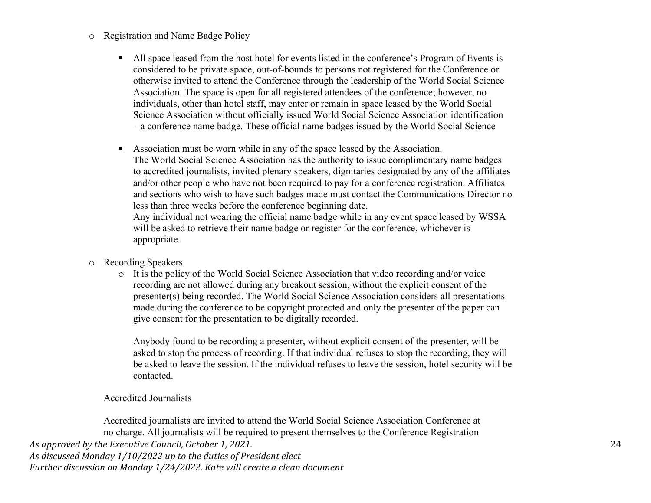#### o Registration and Name Badge Policy

- All space leased from the host hotel for events listed in the conference's Program of Events is considered to be private space, out-of-bounds to persons not registered for the Conference or otherwise invited to attend the Conference through the leadership of the World Social Science Association. The space is open for all registered attendees of the conference; however, no individuals, other than hotel staff, may enter or remain in space leased by the World Social Science Association without officially issued World Social Science Association identification – a conference name badge. These official name badges issued by the World Social Science
- Association must be worn while in any of the space leased by the Association. The World Social Science Association has the authority to issue complimentary name badges to accredited journalists, invited plenary speakers, dignitaries designated by any of the affiliates and/or other people who have not been required to pay for a conference registration. Affiliates and sections who wish to have such badges made must contact the Communications Director no less than three weeks before the conference beginning date.

Any individual not wearing the official name badge while in any event space leased by WSSA will be asked to retrieve their name badge or register for the conference, whichever is appropriate.

- o Recording Speakers
	- $\circ$  It is the policy of the World Social Science Association that video recording and/or voice recording are not allowed during any breakout session, without the explicit consent of the presenter(s) being recorded. The World Social Science Association considers all presentations made during the conference to be copyright protected and only the presenter of the paper can give consent for the presentation to be digitally recorded.

Anybody found to be recording a presenter, without explicit consent of the presenter, will be asked to stop the process of recording. If that individual refuses to stop the recording, they will be asked to leave the session. If the individual refuses to leave the session, hotel security will be contacted.

#### Accredited Journalists

*As approved by the Executive Council, October 1, 2021. As discussed Monday 1/10/2022 up to the duties of President elect Further discussion on Monday 1/24/2022. Kate will create a clean document* Accredited journalists are invited to attend the World Social Science Association Conference at no charge. All journalists will be required to present themselves to the Conference Registration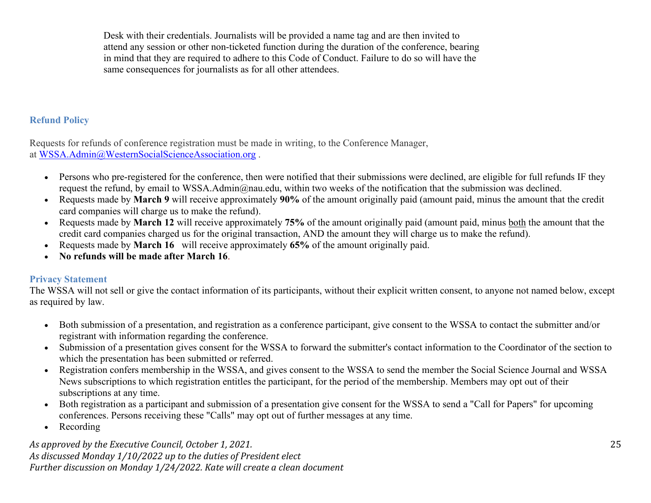Desk with their credentials. Journalists will be provided a name tag and are then invited to attend any session or other non-ticketed function during the duration of the conference, bearing in mind that they are required to adhere to this Code of Conduct. Failure to do so will have the same consequences for journalists as for all other attendees.

#### **Refund Policy**

Requests for refunds of conference registration must be made in writing, to the Conference Manager, at [WSSA.Admin@WesternSocialScienceAssociation.org](about:blank) .

- Persons who pre-registered for the conference, then were notified that their submissions were declined, are eligible for full refunds IF they request the refund, by email to WSSA.Admin@nau.edu, within two weeks of the notification that the submission was declined.
- Requests made by **March 9** will receive approximately **90%** of the amount originally paid (amount paid, minus the amount that the credit card companies will charge us to make the refund).
- Requests made by **March 12** will receive approximately **75%** of the amount originally paid (amount paid, minus both the amount that the credit card companies charged us for the original transaction, AND the amount they will charge us to make the refund).
- Requests made by **March 16** will receive approximately **65%** of the amount originally paid.
- **No refunds will be made after March 16**.

#### **Privacy Statement**

The WSSA will not sell or give the contact information of its participants, without their explicit written consent, to anyone not named below, except as required by law.

- Both submission of a presentation, and registration as a conference participant, give consent to the WSSA to contact the submitter and/or registrant with information regarding the conference.
- Submission of a presentation gives consent for the WSSA to forward the submitter's contact information to the Coordinator of the section to which the presentation has been submitted or referred.
- Registration confers membership in the WSSA, and gives consent to the WSSA to send the member the Social Science Journal and WSSA News subscriptions to which registration entitles the participant, for the period of the membership. Members may opt out of their subscriptions at any time.
- Both registration as a participant and submission of a presentation give consent for the WSSA to send a "Call for Papers" for upcoming conferences. Persons receiving these "Calls" may opt out of further messages at any time.
- Recording